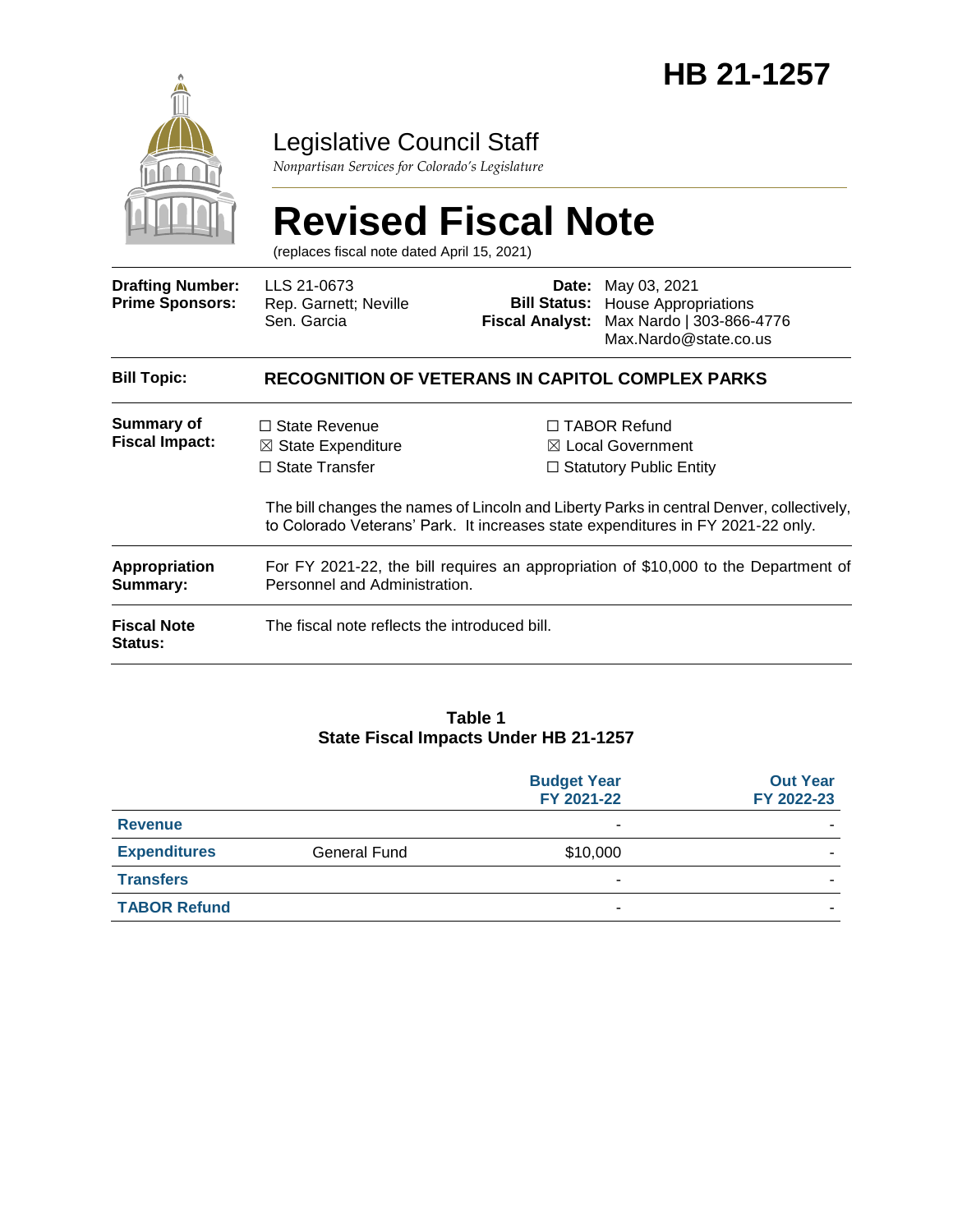

### Legislative Council Staff

*Nonpartisan Services for Colorado's Legislature*

# **Revised Fiscal Note**

(replaces fiscal note dated April 15, 2021)

| <b>Drafting Number:</b><br><b>Prime Sponsors:</b> | LLS 21-0673<br>Rep. Garnett; Neville<br>Sen. Garcia                                                                  | Date:<br><b>Fiscal Analyst:</b> | May 03, 2021<br><b>Bill Status:</b> House Appropriations<br>Max Nardo   303-866-4776<br>Max.Nardo@state.co.us                                                                                                                                                        |
|---------------------------------------------------|----------------------------------------------------------------------------------------------------------------------|---------------------------------|----------------------------------------------------------------------------------------------------------------------------------------------------------------------------------------------------------------------------------------------------------------------|
| <b>Bill Topic:</b>                                | <b>RECOGNITION OF VETERANS IN CAPITOL COMPLEX PARKS</b>                                                              |                                 |                                                                                                                                                                                                                                                                      |
| <b>Summary of</b><br><b>Fiscal Impact:</b>        | $\Box$ State Revenue<br>$\boxtimes$ State Expenditure<br>$\Box$ State Transfer                                       |                                 | $\Box$ TABOR Refund<br>$\boxtimes$ Local Government<br>$\Box$ Statutory Public Entity<br>The bill changes the names of Lincoln and Liberty Parks in central Denver, collectively,<br>to Colorado Veterans' Park. It increases state expenditures in FY 2021-22 only. |
| Appropriation<br>Summary:                         | For FY 2021-22, the bill requires an appropriation of \$10,000 to the Department of<br>Personnel and Administration. |                                 |                                                                                                                                                                                                                                                                      |
| <b>Fiscal Note</b><br><b>Status:</b>              | The fiscal note reflects the introduced bill.                                                                        |                                 |                                                                                                                                                                                                                                                                      |

#### **Table 1 State Fiscal Impacts Under HB 21-1257**

|                     |              | <b>Budget Year</b><br>FY 2021-22 | <b>Out Year</b><br>FY 2022-23 |
|---------------------|--------------|----------------------------------|-------------------------------|
| <b>Revenue</b>      |              | ۰                                |                               |
| <b>Expenditures</b> | General Fund | \$10,000                         |                               |
| <b>Transfers</b>    |              | -                                |                               |
| <b>TABOR Refund</b> |              |                                  |                               |